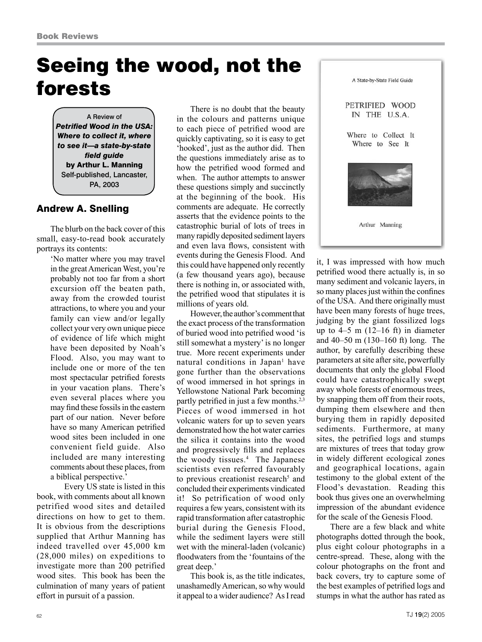## Seeing the wood, not the forests

A Review of *Petrified Wood in the USA: Where to collect it, where to see it—a state-by-state field guide* by Arthur L. Manning Self-published, Lancaster, PA, 2003

## Andrew A. Snelling

The blurb on the back cover of this small, easy-to-read book accurately portrays its contents:

'No matter where you may travel in the great American West, you're probably not too far from a short excursion off the beaten path, away from the crowded tourist attractions, to where you and your family can view and/or legally collect your very own unique piece of evidence of life which might have been deposited by Noah's Flood. Also, you may want to include one or more of the ten most spectacular petrified forests in your vacation plans. There's even several places where you may find these fossils in the eastern part of our nation. Never before have so many American petrified wood sites been included in one convenient field guide. Also included are many interesting comments about these places, from a biblical perspective.'

Every US state is listed in this book, with comments about all known petrified wood sites and detailed directions on how to get to them. It is obvious from the descriptions supplied that Arthur Manning has indeed travelled over 45,000 km (28,000 miles) on expeditions to investigate more than 200 petrified wood sites. This book has been the culmination of many years of patient effort in pursuit of a passion.

There is no doubt that the beauty in the colours and patterns unique to each piece of petrified wood are quickly captivating, so it is easy to get 'hooked', just as the author did. Then the questions immediately arise as to how the petrified wood formed and when. The author attempts to answer these questions simply and succinctly at the beginning of the book. His comments are adequate. He correctly asserts that the evidence points to the catastrophic burial of lots of trees in many rapidly deposited sediment layers and even lava flows, consistent with events during the Genesis Flood. And this could have happened only recently (a few thousand years ago), because there is nothing in, or associated with, the petrified wood that stipulates it is millions of years old.

However, the author's comment that the exact process of the transformation of buried wood into petrified wood 'is still somewhat a mystery' is no longer true. More recent experiments under natural conditions in Japan<sup>1</sup> have gone further than the observations of wood immersed in hot springs in Yellowstone National Park becoming partly petrified in just a few months.<sup>2,3</sup> Pieces of wood immersed in hot volcanic waters for up to seven years demonstrated how the hot water carries the silica it contains into the wood and progressively fills and replaces the woody tissues.<sup>4</sup> The Japanese scientists even referred favourably to previous creationist research<sup>5</sup> and concluded their experiments vindicated it! So petrification of wood only requires a few years, consistent with its rapid transformation after catastrophic burial during the Genesis Flood, while the sediment layers were still wet with the mineral-laden (volcanic) floodwaters from the 'fountains of the great deep.'

This book is, as the title indicates, unashamedly American, so why would it appeal to a wider audience? As I read



it, I was impressed with how much petrified wood there actually is, in so many sediment and volcanic layers, in so many places just within the confines of the USA. And there originally must have been many forests of huge trees, judging by the giant fossilized logs up to  $4-5$  m  $(12-16 \text{ ft})$  in diameter and 40–50 m (130–160 ft) long. The author, by carefully describing these parameters at site after site, powerfully documents that only the global Flood could have catastrophically swept away whole forests of enormous trees, by snapping them off from their roots, dumping them elsewhere and then burying them in rapidly deposited sediments. Furthermore, at many sites, the petrified logs and stumps are mixtures of trees that today grow in widely different ecological zones and geographical locations, again testimony to the global extent of the Flood's devastation. Reading this book thus gives one an overwhelming impression of the abundant evidence for the scale of the Genesis Flood.

There are a few black and white photographs dotted through the book, plus eight colour photographs in a centre-spread. These, along with the colour photographs on the front and back covers, try to capture some of the best examples of petrified logs and stumps in what the author has rated as